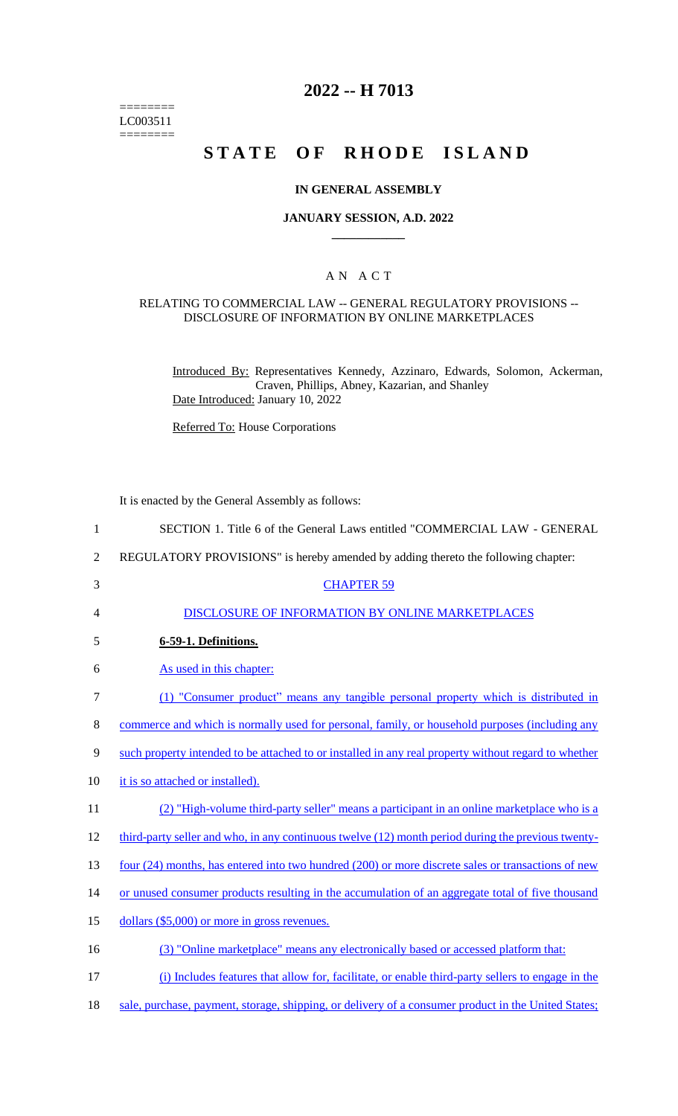======== LC003511  $=$ 

## **2022 -- H 7013**

# **STATE OF RHODE ISLAND**

#### **IN GENERAL ASSEMBLY**

#### **JANUARY SESSION, A.D. 2022 \_\_\_\_\_\_\_\_\_\_\_\_**

#### A N A C T

#### RELATING TO COMMERCIAL LAW -- GENERAL REGULATORY PROVISIONS -- DISCLOSURE OF INFORMATION BY ONLINE MARKETPLACES

Introduced By: Representatives Kennedy, Azzinaro, Edwards, Solomon, Ackerman, Craven, Phillips, Abney, Kazarian, and Shanley Date Introduced: January 10, 2022

Referred To: House Corporations

It is enacted by the General Assembly as follows:

| 1              | SECTION 1. Title 6 of the General Laws entitled "COMMERCIAL LAW - GENERAL                            |
|----------------|------------------------------------------------------------------------------------------------------|
| $\overline{2}$ | REGULATORY PROVISIONS" is hereby amended by adding thereto the following chapter:                    |
| 3              | <b>CHAPTER 59</b>                                                                                    |
| 4              | DISCLOSURE OF INFORMATION BY ONLINE MARKETPLACES                                                     |
| 5              | 6-59-1. Definitions.                                                                                 |
| 6              | As used in this chapter:                                                                             |
| 7              | (1) "Consumer product" means any tangible personal property which is distributed in                  |
| 8              | commerce and which is normally used for personal, family, or household purposes (including any       |
| 9              | such property intended to be attached to or installed in any real property without regard to whether |
| 10             | it is so attached or installed).                                                                     |
| 11             | (2) "High-volume third-party seller" means a participant in an online marketplace who is a           |
| 12             | third-party seller and who, in any continuous twelve (12) month period during the previous twenty-   |
| 13             | four (24) months, has entered into two hundred (200) or more discrete sales or transactions of new   |
| 14             | or unused consumer products resulting in the accumulation of an aggregate total of five thousand     |
| 15             | dollars (\$5,000) or more in gross revenues.                                                         |
| 16             | (3) "Online marketplace" means any electronically based or accessed platform that:                   |
| 17             | (i) Includes features that allow for, facilitate, or enable third-party sellers to engage in the     |

18 sale, purchase, payment, storage, shipping, or delivery of a consumer product in the United States;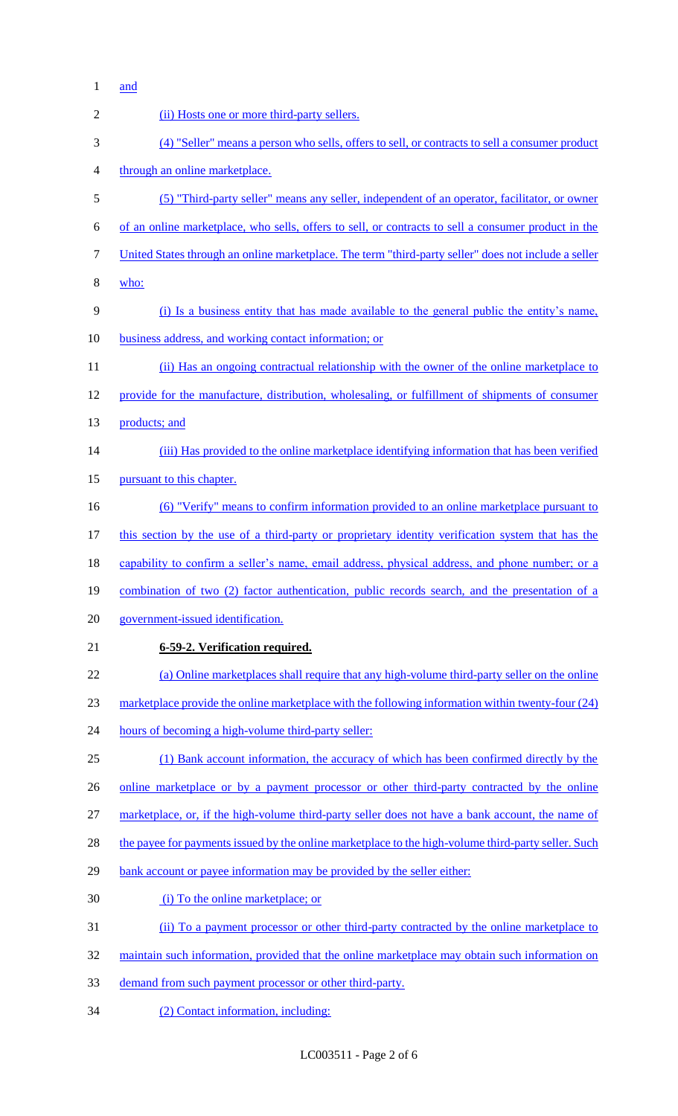and

| $\overline{2}$ | (ii) Hosts one or more third-party sellers.                                                          |
|----------------|------------------------------------------------------------------------------------------------------|
| 3              | (4) "Seller" means a person who sells, offers to sell, or contracts to sell a consumer product       |
| $\overline{4}$ | through an online marketplace.                                                                       |
| 5              | (5) "Third-party seller" means any seller, independent of an operator, facilitator, or owner         |
| 6              | of an online marketplace, who sells, offers to sell, or contracts to sell a consumer product in the  |
| $\tau$         | United States through an online marketplace. The term "third-party seller" does not include a seller |
| $8\,$          | who:                                                                                                 |
| 9              | (i) Is a business entity that has made available to the general public the entity's name,            |
| 10             | business address, and working contact information; or                                                |
| 11             | (ii) Has an ongoing contractual relationship with the owner of the online marketplace to             |
| 12             | provide for the manufacture, distribution, wholesaling, or fulfillment of shipments of consumer      |
| 13             | products; and                                                                                        |
| 14             | (iii) Has provided to the online marketplace identifying information that has been verified          |
| 15             | pursuant to this chapter.                                                                            |
| 16             | <u>(6) "Verify" means to confirm information provided to an online marketplace pursuant to</u>       |
| 17             | this section by the use of a third-party or proprietary identity verification system that has the    |
| 18             | capability to confirm a seller's name, email address, physical address, and phone number; or a       |
| 19             | combination of two (2) factor authentication, public records search, and the presentation of a       |
| 20             | government-issued identification.                                                                    |
| 21             | 6-59-2. Verification required.                                                                       |
| 22             | (a) Online marketplaces shall require that any high-volume third-party seller on the online          |
| 23             | marketplace provide the online marketplace with the following information within twenty-four (24)    |
| 24             | hours of becoming a high-volume third-party seller:                                                  |
| 25             | (1) Bank account information, the accuracy of which has been confirmed directly by the               |
| 26             | online marketplace or by a payment processor or other third-party contracted by the online           |
| 27             | marketplace, or, if the high-volume third-party seller does not have a bank account, the name of     |
| 28             | the payee for payments issued by the online marketplace to the high-volume third-party seller. Such  |
| 29             | bank account or payee information may be provided by the seller either:                              |
| 30             | (i) To the online marketplace; or                                                                    |
| 31             | (ii) To a payment processor or other third-party contracted by the online marketplace to             |
| 32             | maintain such information, provided that the online marketplace may obtain such information on       |
| 33             | demand from such payment processor or other third-party.                                             |
| 34             | (2) Contact information, including:                                                                  |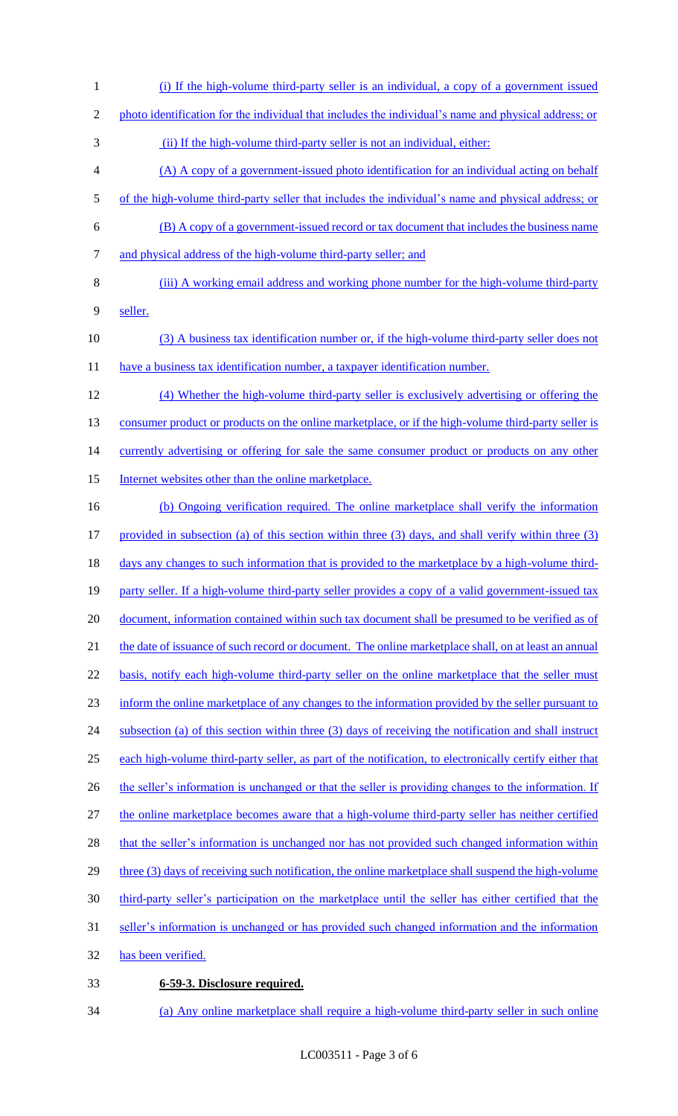- 1 (i) If the high-volume third-party seller is an individual, a copy of a government issued 2 photo identification for the individual that includes the individual's name and physical address; or 3 (ii) If the high-volume third-party seller is not an individual, either: 4 (A) A copy of a government-issued photo identification for an individual acting on behalf 5 of the high-volume third-party seller that includes the individual's name and physical address; or 6 (B) A copy of a government-issued record or tax document that includes the business name 7 and physical address of the high-volume third-party seller; and 8 (iii) A working email address and working phone number for the high-volume third-party 9 seller. 10 (3) A business tax identification number or, if the high-volume third-party seller does not 11 have a business tax identification number, a taxpayer identification number. 12 (4) Whether the high-volume third-party seller is exclusively advertising or offering the 13 consumer product or products on the online marketplace, or if the high-volume third-party seller is 14 currently advertising or offering for sale the same consumer product or products on any other 15 Internet websites other than the online marketplace. 16 (b) Ongoing verification required. The online marketplace shall verify the information 17 provided in subsection (a) of this section within three (3) days, and shall verify within three (3) 18 days any changes to such information that is provided to the marketplace by a high-volume third-19 party seller. If a high-volume third-party seller provides a copy of a valid government-issued tax 20 document, information contained within such tax document shall be presumed to be verified as of 21 the date of issuance of such record or document. The online marketplace shall, on at least an annual 22 basis, notify each high-volume third-party seller on the online marketplace that the seller must 23 inform the online marketplace of any changes to the information provided by the seller pursuant to 24 subsection (a) of this section within three (3) days of receiving the notification and shall instruct 25 each high-volume third-party seller, as part of the notification, to electronically certify either that 26 the seller's information is unchanged or that the seller is providing changes to the information. If 27 the online marketplace becomes aware that a high-volume third-party seller has neither certified 28 that the seller's information is unchanged nor has not provided such changed information within 29 three (3) days of receiving such notification, the online marketplace shall suspend the high-volume 30 third-party seller's participation on the marketplace until the seller has either certified that the 31 seller's information is unchanged or has provided such changed information and the information 32 has been verified. 33 **6-59-3. Disclosure required.**
- 34 (a) Any online marketplace shall require a high-volume third-party seller in such online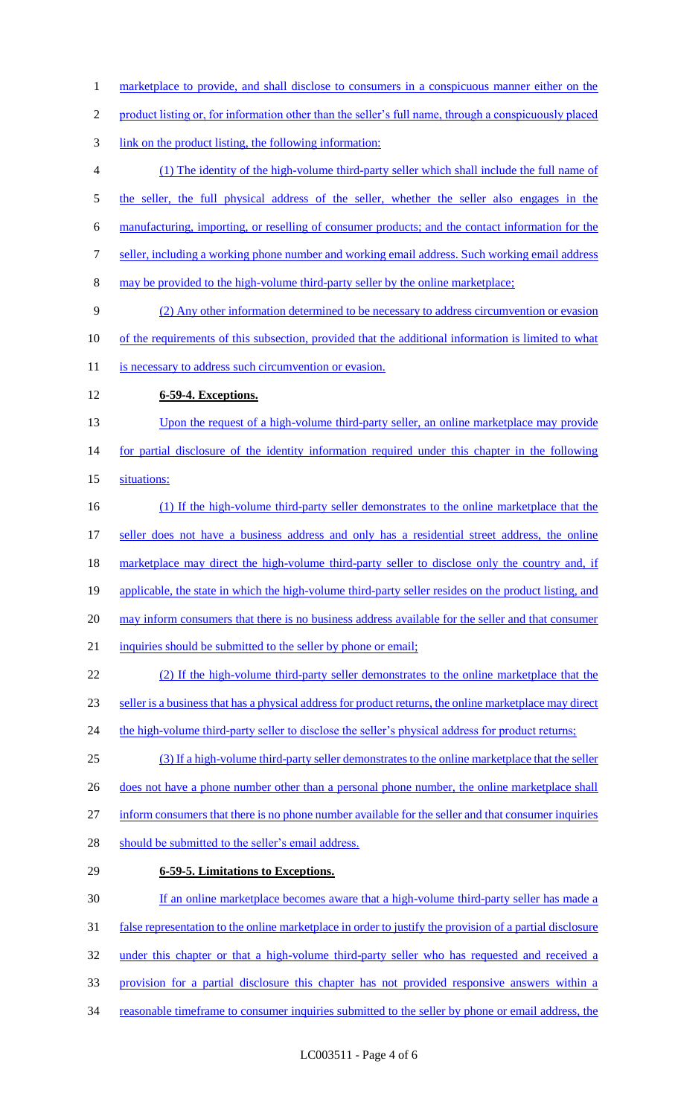1 marketplace to provide, and shall disclose to consumers in a conspicuous manner either on the product listing or, for information other than the seller's full name, through a conspicuously placed link on the product listing, the following information: (1) The identity of the high-volume third-party seller which shall include the full name of 5 the seller, the full physical address of the seller, whether the seller also engages in the manufacturing, importing, or reselling of consumer products; and the contact information for the seller, including a working phone number and working email address. Such working email address may be provided to the high-volume third-party seller by the online marketplace; (2) Any other information determined to be necessary to address circumvention or evasion of the requirements of this subsection, provided that the additional information is limited to what 11 is necessary to address such circumvention or evasion. **6-59-4. Exceptions.**  13 Upon the request of a high-volume third-party seller, an online marketplace may provide 14 for partial disclosure of the identity information required under this chapter in the following situations: (1) If the high-volume third-party seller demonstrates to the online marketplace that the 17 seller does not have a business address and only has a residential street address, the online marketplace may direct the high-volume third-party seller to disclose only the country and, if 19 applicable, the state in which the high-volume third-party seller resides on the product listing, and may inform consumers that there is no business address available for the seller and that consumer 21 inquiries should be submitted to the seller by phone or email; (2) If the high-volume third-party seller demonstrates to the online marketplace that the seller is a business that has a physical address for product returns, the online marketplace may direct 24 the high-volume third-party seller to disclose the seller's physical address for product returns; (3) If a high-volume third-party seller demonstrates to the online marketplace that the seller 26 does not have a phone number other than a personal phone number, the online marketplace shall inform consumers that there is no phone number available for the seller and that consumer inquiries 28 should be submitted to the seller's email address. **6-59-5. Limitations to Exceptions.**  If an online marketplace becomes aware that a high-volume third-party seller has made a false representation to the online marketplace in order to justify the provision of a partial disclosure 32 under this chapter or that a high-volume third-party seller who has requested and received a provision for a partial disclosure this chapter has not provided responsive answers within a 34 reasonable timeframe to consumer inquiries submitted to the seller by phone or email address, the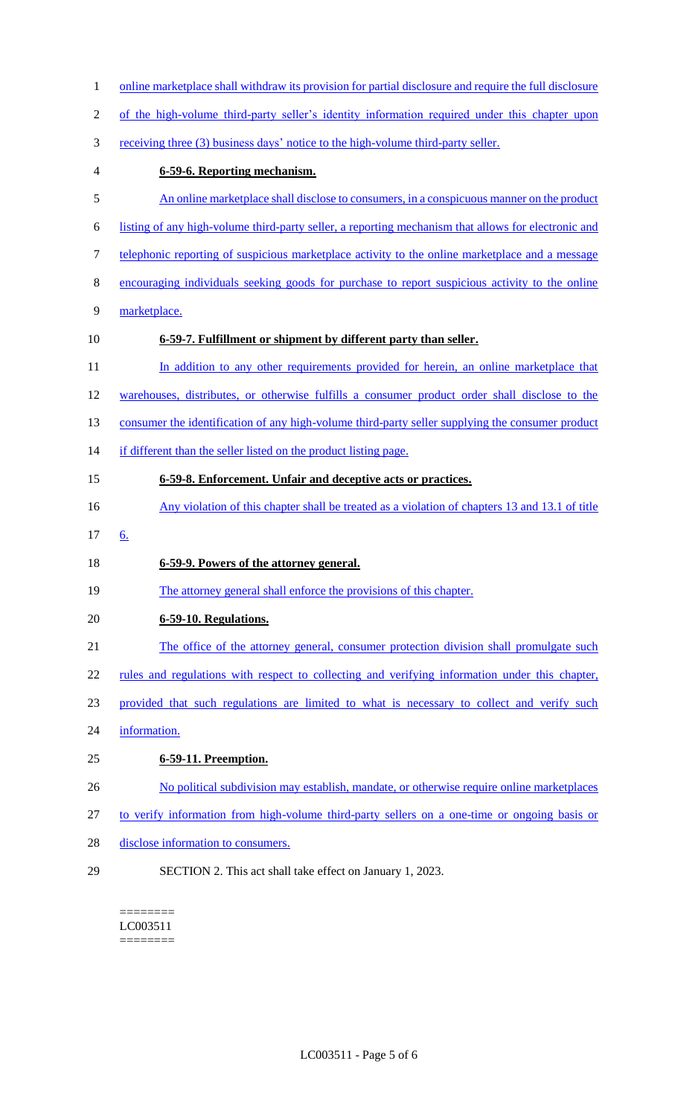| online marketplace shall withdraw its provision for partial disclosure and require the full disclosure |
|--------------------------------------------------------------------------------------------------------|
| of the high-volume third-party seller's identity information required under this chapter upon          |
| receiving three (3) business days' notice to the high-volume third-party seller.                       |
| 6-59-6. Reporting mechanism.                                                                           |
| An online marketplace shall disclose to consumers, in a conspicuous manner on the product              |
| listing of any high-volume third-party seller, a reporting mechanism that allows for electronic and    |
| telephonic reporting of suspicious marketplace activity to the online marketplace and a message        |
| encouraging individuals seeking goods for purchase to report suspicious activity to the online         |
| marketplace.                                                                                           |
| 6-59-7. Fulfillment or shipment by different party than seller.                                        |
| In addition to any other requirements provided for herein, an online marketplace that                  |
| warehouses, distributes, or otherwise fulfills a consumer product order shall disclose to the          |
| consumer the identification of any high-volume third-party seller supplying the consumer product       |
| if different than the seller listed on the product listing page.                                       |
| 6-59-8. Enforcement. Unfair and deceptive acts or practices.                                           |
| Any violation of this chapter shall be treated as a violation of chapters 13 and 13.1 of title         |
| 6.                                                                                                     |
| 6-59-9. Powers of the attorney general.                                                                |
| The attorney general shall enforce the provisions of this chapter.                                     |
| 6-59-10. Regulations.                                                                                  |
| The office of the attorney general, consumer protection division shall promulgate such                 |
| rules and regulations with respect to collecting and verifying information under this chapter,         |
| provided that such regulations are limited to what is necessary to collect and verify such             |
| information.                                                                                           |
| 6-59-11. Preemption.                                                                                   |
| No political subdivision may establish, mandate, or otherwise require online marketplaces              |
| to verify information from high-volume third-party sellers on a one-time or ongoing basis or           |
| disclose information to consumers.                                                                     |
| SECTION 2. This act shall take effect on January 1, 2023.                                              |
|                                                                                                        |

 $=$ LC003511 ========